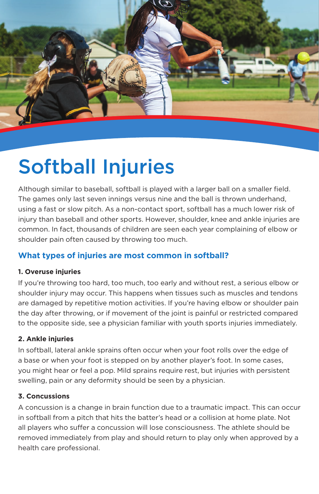

# Softball Injuries

Although similar to baseball, softball is played with a larger ball on a smaller field. The games only last seven innings versus nine and the ball is thrown underhand, using a fast or slow pitch. As a non-contact sport, softball has a much lower risk of injury than baseball and other sports. However, shoulder, knee and ankle injuries are common. In fact, thousands of children are seen each year complaining of elbow or shoulder pain often caused by throwing too much.

## **What types of injuries are most common in softball?**

## **1. Overuse injuries**

If you're throwing too hard, too much, too early and without rest, a serious elbow or shoulder injury may occur. This happens when tissues such as muscles and tendons are damaged by repetitive motion activities. If you're having elbow or shoulder pain the day after throwing, or if movement of the joint is painful or restricted compared to the opposite side, see a physician familiar with youth sports injuries immediately.

## **2. Ankle injuries**

In softball, lateral ankle sprains often occur when your foot rolls over the edge of a base or when your foot is stepped on by another player's foot. In some cases, you might hear or feel a pop. Mild sprains require rest, but injuries with persistent swelling, pain or any deformity should be seen by a physician.

#### **3. Concussions**

A concussion is a change in brain function due to a traumatic impact. This can occur in softball from a pitch that hits the batter's head or a collision at home plate. Not all players who suffer a concussion will lose consciousness. The athlete should be removed immediately from play and should return to play only when approved by a health care professional.